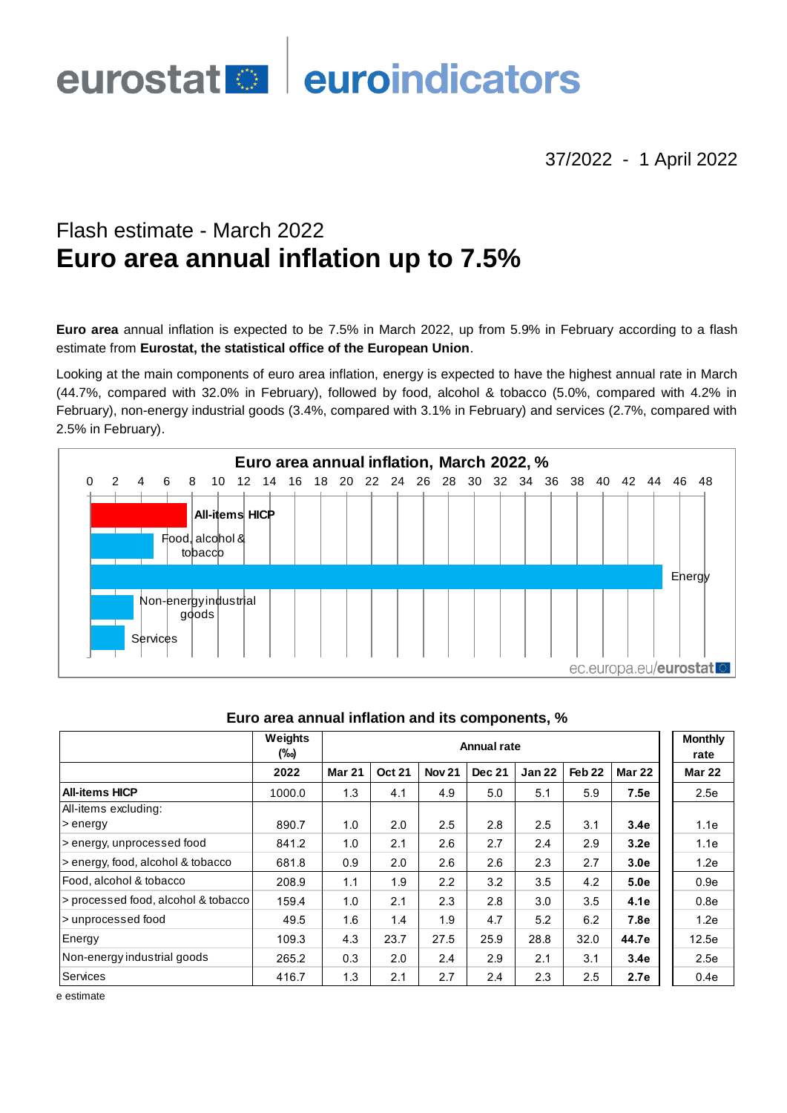## euroindicators eurostat <sup>o</sup>

## 37/2022 - 1 April 2022

# Flash estimate - March 2022 **Euro area annual inflation up to 7.5%**

**Euro area** annual inflation is expected to be 7.5% in March 2022, up from 5.9% in February according to a flash estimate from **Eurostat, the statistical office of the European Union**.

Looking at the main components of euro area inflation, energy is expected to have the highest annual rate in March (44.7%, compared with 32.0% in February), followed by food, alcohol & tobacco (5.0%, compared with 4.2% in February), non-energy industrial goods (3.4%, compared with 3.1% in February) and services (2.7%, compared with 2.5% in February).



|                                     | Weights<br><b>Annual rate</b><br>(‰) |               |               |               |               |        |                   |               | <b>Monthly</b><br>rate |
|-------------------------------------|--------------------------------------|---------------|---------------|---------------|---------------|--------|-------------------|---------------|------------------------|
|                                     | 2022                                 | <b>Mar 21</b> | <b>Oct 21</b> | <b>Nov 21</b> | <b>Dec 21</b> | Jan 22 | Feb <sub>22</sub> | <b>Mar 22</b> | <b>Mar 22</b>          |
| <b>All-items HICP</b>               | 1000.0                               | 1.3           | 4.1           | 4.9           | 5.0           | 5.1    | 5.9               | 7.5e          | 2.5e                   |
| All-items excluding:                |                                      |               |               |               |               |        |                   |               |                        |
| > energy                            | 890.7                                | 1.0           | 2.0           | 2.5           | 2.8           | 2.5    | 3.1               | 3.4e          | 1.1e                   |
| s energy, unprocessed food          | 841.2                                | 1.0           | 2.1           | 2.6           | 2.7           | 2.4    | 2.9               | 3.2e          | 1.1e                   |
| > energy, food, alcohol & tobacco   | 681.8                                | 0.9           | 2.0           | 2.6           | 2.6           | 2.3    | 2.7               | 3.0e          | 1.2e                   |
| Food, alcohol & tobacco             | 208.9                                | 1.1           | 1.9           | 2.2           | 3.2           | 3.5    | 4.2               | 5.0e          | 0.9e                   |
| > processed food, alcohol & tobacco | 159.4                                | 1.0           | 2.1           | 2.3           | 2.8           | 3.0    | 3.5               | 4.1e          | 0.8e                   |
| I > unprocessed food                | 49.5                                 | 1.6           | 1.4           | 1.9           | 4.7           | 5.2    | 6.2               | 7.8e          | 1.2e                   |
| Energy                              | 109.3                                | 4.3           | 23.7          | 27.5          | 25.9          | 28.8   | 32.0              | 44.7e         | 12.5e                  |
| Non-energy industrial goods         | 265.2                                | 0.3           | 2.0           | 2.4           | 2.9           | 2.1    | 3.1               | 3.4e          | 2.5e                   |
| Services                            | 416.7                                | 1.3           | 2.1           | 2.7           | 2.4           | 2.3    | 2.5               | 2.7e          | 0.4e                   |

## **Euro area annual inflation and its components, %**

e estimate